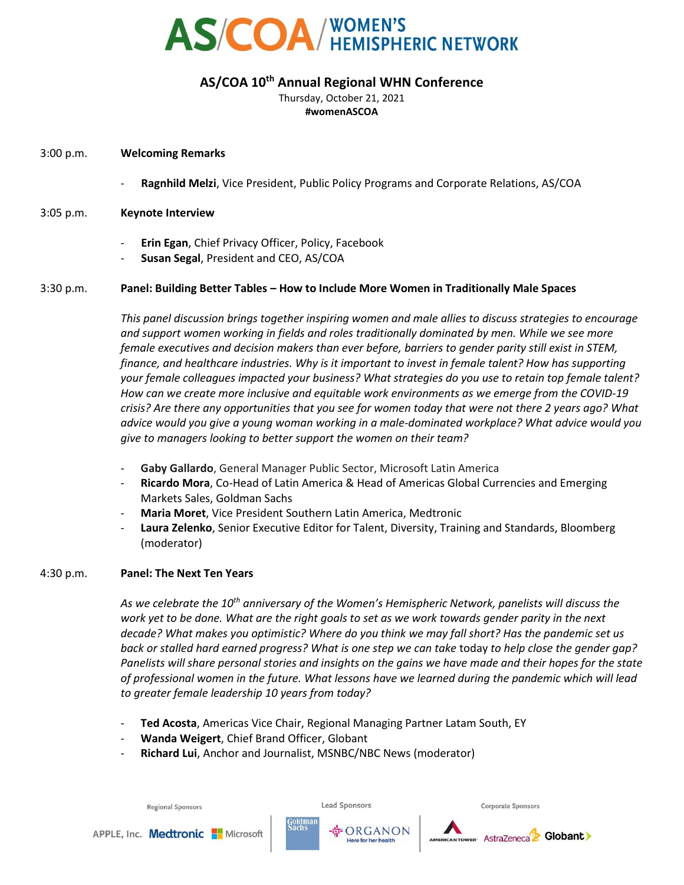

# **AS/COA 10th Annual Regional WHN Conference**

Thursday, October 21, 2021 **#womenASCOA**

## 3:00 p.m. **Welcoming Remarks**

- **Ragnhild Melzi**, Vice President, Public Policy Programs and Corporate Relations, AS/COA

### 3:05 p.m. **Keynote Interview**

- **Erin Egan**, Chief Privacy Officer, Policy, Facebook
- **Susan Segal**, President and CEO, AS/COA

## 3:30 p.m. **Panel: Building Better Tables – How to Include More Women in Traditionally Male Spaces**

*This panel discussion brings together inspiring women and male allies to discuss strategies to encourage and support women working in fields and roles traditionally dominated by men. While we see more female executives and decision makers than ever before, barriers to gender parity still exist in STEM, finance, and healthcare industries. Why is it important to invest in female talent? How has supporting your female colleagues impacted your business? What strategies do you use to retain top female talent? How can we create more inclusive and equitable work environments as we emerge from the COVID-19 crisis? Are there any opportunities that you see for women today that were not there 2 years ago? What advice would you give a young woman working in a male-dominated workplace? What advice would you give to managers looking to better support the women on their team?* 

- **Gaby Gallardo**, General Manager Public Sector, Microsoft Latin America
- **Ricardo Mora**, Co-Head of Latin America & Head of Americas Global Currencies and Emerging Markets Sales, Goldman Sachs
- **Maria Moret**, Vice President Southern Latin America, Medtronic
- Laura Zelenko, Senior Executive Editor for Talent, Diversity, Training and Standards, Bloomberg (moderator)

#### 4:30 p.m. **Panel: The Next Ten Years**

*As we celebrate the 10th anniversary of the Women's Hemispheric Network, panelists will discuss the work yet to be done. What are the right goals to set as we work towards gender parity in the next decade? What makes you optimistic? Where do you think we may fall short? Has the pandemic set us back or stalled hard earned progress? What is one step we can take* today *to help close the gender gap? Panelists will share personal stories and insights on the gains we have made and their hopes for the state of professional women in the future. What lessons have we learned during the pandemic which will lead to greater female leadership 10 years from today?*

- **Ted Acosta**, Americas Vice Chair, Regional Managing Partner Latam South, EY
- **Wanda Weigert**, Chief Brand Officer, Globant
- **Richard Lui**, Anchor and Journalist, MSNBC/NBC News (moderator)

**Lead Sponsors** 

☆ ORGANON

**Corporate Sponsors**